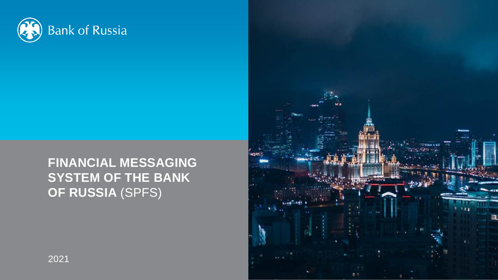

# **FINANCIAL MESSAGING SYSTEM OF THE BANK OF RUSSIA** (SPFS)

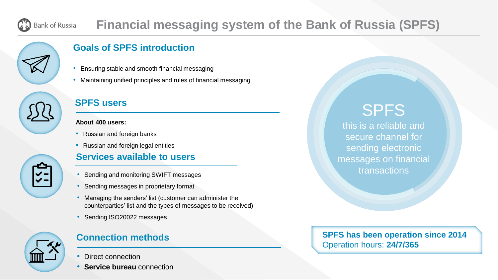### **Financial messaging system of the Bank of Russia (SPFS) Bank of Russia**



# **Goals of SPFS introduction**

- Ensuring stable and smooth financial messaging
- Maintaining unified principles and rules of financial messaging



**S-2** 

### **SPFS users**

### **About 400 users:**

- Russian and foreign banks
- Russian and foreign legal entities

# **Services available to users**

- Sending and monitoring SWIFT messages
- Sending messages in proprietary format
- Managing the senders' list (customer can administer the counterparties' list and the types of messages to be received)
- Sending ISO20022 messages



# **Connection methods**

- Direct connection
- **Service bureau** connection

# SPFS

this is a reliable and secure channel for sending electronic messages on financial transactions

**SPFS has been operation since 2014** Operation hours: **24/7/365**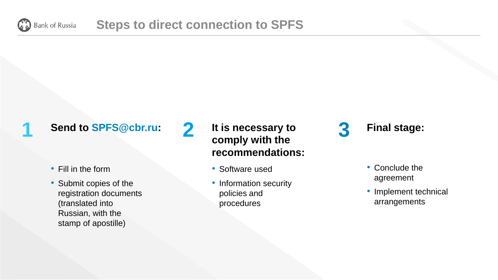

**1**

**2**

# **Send to SPFS@cbr.ru:**

- Fill in the form
- Submit copies of the registration documents (translated into Russian, with the stamp of apostille)

**It is necessary to comply with the recommendations:** 

- Software used
- Information security policies and procedures

**3 Final stage:**

- Conclude the agreement
- Implement technical arrangements